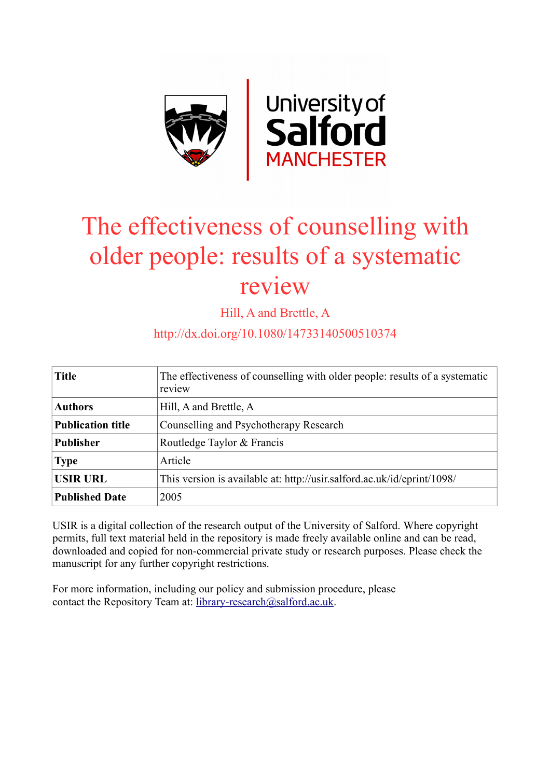

# The effectiveness of counselling with older people: results of a systematic review

Hill, A and Brettle, A

## http://dx.doi.org/10.1080/14733140500510374

| <b>Title</b>             | The effectiveness of counselling with older people: results of a systematic<br>review |  |  |  |
|--------------------------|---------------------------------------------------------------------------------------|--|--|--|
| <b>Authors</b>           | Hill, A and Brettle, A                                                                |  |  |  |
| <b>Publication title</b> | Counselling and Psychotherapy Research                                                |  |  |  |
| <b>Publisher</b>         | Routledge Taylor & Francis                                                            |  |  |  |
| <b>Type</b>              | Article                                                                               |  |  |  |
| <b>USIR URL</b>          | This version is available at: http://usir.salford.ac.uk/id/eprint/1098/               |  |  |  |
| <b>Published Date</b>    | 2005                                                                                  |  |  |  |

USIR is a digital collection of the research output of the University of Salford. Where copyright permits, full text material held in the repository is made freely available online and can be read, downloaded and copied for non-commercial private study or research purposes. Please check the manuscript for any further copyright restrictions.

For more information, including our policy and submission procedure, please contact the Repository Team at: [library-research@salford.ac.uk.](mailto:library-research@salford.ac.uk)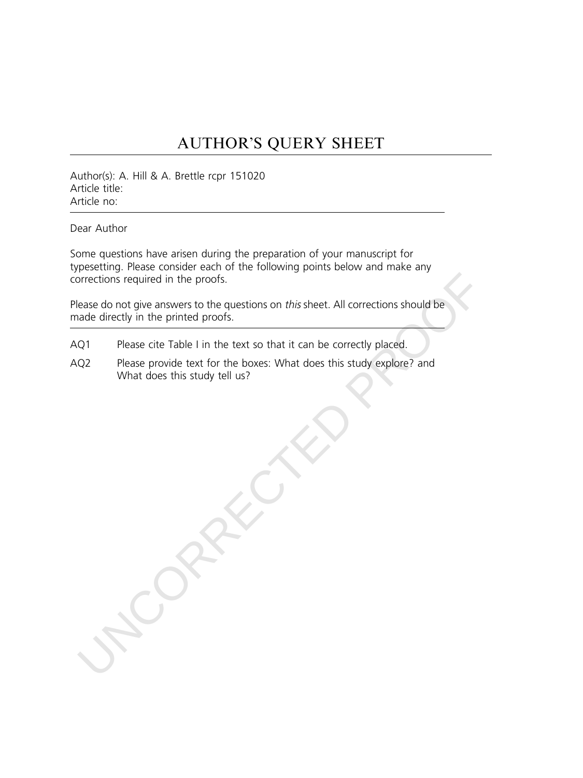# AUTHOR'S QUERY SHEET

Author(s): A. Hill & A. Brettle rcpr 151020 Article title: Article no:

Dear Author

Some questions have arisen during the preparation of your manuscript for typesetting. Please consider each of the following points below and make any corrections required in the proofs.

contractions required in the proofs.<br>
Rease do not give answers to the questions on this sheet. All corrections should be<br>
nade directly in the printed proofs.<br>
Q1 Please cite Table I in the text so that it can be correctl Please do not give answers to the questions on this sheet. All corrections should be made directly in the printed proofs.

- AQ1 Please cite Table I in the text so that it can be correctly placed.
- AQ2 Please provide text for the boxes: What does this study explore? and What does this study tell us?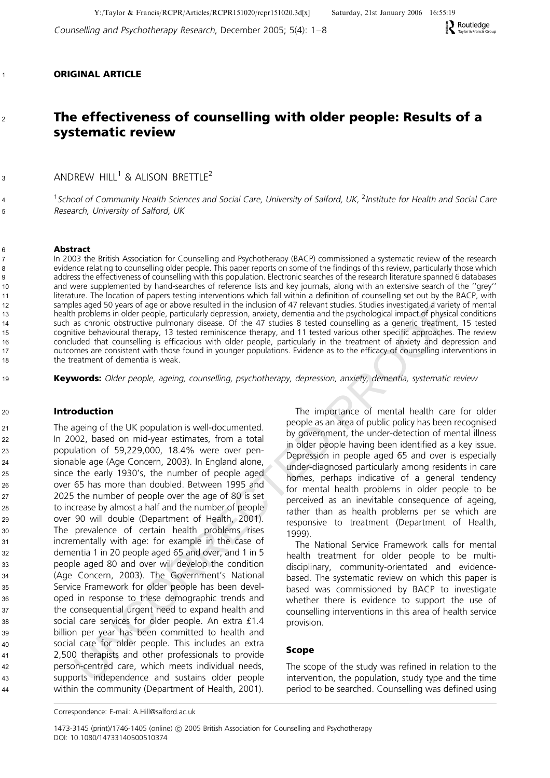Counselling and Psychotherapy Research, December 2005; 5(4): 1–8

## ORIGINAL ARTICLE

1

2

3

4 5

## The effectiveness of counselling with older people: Results of a systematic review

ANDREW HILL<sup>1</sup> & ALISON BRETTLE<sup>2</sup>

<sup>1</sup>School of Community Health Sciences and Social Care, University of Salford, UK, <sup>2</sup>Institute for Health and Social Care Research, University of Salford, UK

#### Abstract

In 2003 the British Association for Counselling and Psychotherapy (BACP) commissioned a systematic review of the research evidence relating to counselling older people. This paper reports on some of the findings of this review, particularly those which address the effectiveness of counselling with this population. Electronic searches of the research literature spanned 6 databases and were supplemented by hand-searches of reference lists and key journals, along with an extensive search of the ''grey'' literature. The location of papers testing interventions which fall within a definition of counselling set out by the BACP, with samples aged 50 years of age or above resulted in the inclusion of 47 relevant studies. Studies investigated a variety of mental health problems in older people, particularly depression, anxiety, dementia and the psychological impact of physical conditions such as chronic obstructive pulmonary disease. Of the 47 studies 8 tested counselling as a generic treatment, 15 tested cognitive behavioural therapy, 13 tested reminiscence therapy, and 11 tested various other specific approaches. The review concluded that counselling is efficacious with older people, particularly in the treatment of anxiety and depression and outcomes are consistent with those found in younger populations. Evidence as to the efficacy of counselling interventions in the treatment of dementia is weak.

Keywords: Older people, ageing, counselling, psychotherapy, depression, anxiety, dementia, systematic review

### Introduction

is aged 50 years of aign or above resulted in the inclusion of 47 relevant studies. Studies investigated a variety and the proposition of the 47 studies is a concent transfer and the studies of the 47 studies 8 tstudi con The ageing of the UK population is well-documented. In 2002, based on mid-year estimates, from a total population of 59,229,000, 18.4% were over pensionable age (Age Concern, 2003). In England alone, since the early 1930's, the number of people aged over 65 has more than doubled. Between 1995 and 2025 the number of people over the age of 80 is set to increase by almost a half and the number of people over 90 will double (Department of Health, 2001). The prevalence of certain health problems rises incrementally with age: for example in the case of dementia 1 in 20 people aged 65 and over, and 1 in 5 people aged 80 and over will develop the condition (Age Concern, 2003). The Government's National Service Framework for older people has been developed in response to these demographic trends and the consequential urgent need to expand health and social care services for older people. An extra £1.4 billion per year has been committed to health and social care for older people. This includes an extra 2,500 therapists and other professionals to provide person-centred care, which meets individual needs, supports independence and sustains older people within the community (Department of Health, 2001).

The importance of mental health care for older people as an area of public policy has been recognised by government, the under-detection of mental illness in older people having been identified as a key issue. Depression in people aged 65 and over is especially under-diagnosed particularly among residents in care homes, perhaps indicative of a general tendency for mental health problems in older people to be perceived as an inevitable consequence of ageing, rather than as health problems per se which are responsive to treatment (Department of Health, 1999).

The National Service Framework calls for mental health treatment for older people to be multidisciplinary, community-orientated and evidencebased. The systematic review on which this paper is based was commissioned by BACP to investigate whether there is evidence to support the use of counselling interventions in this area of health service provision.

#### Scope

The scope of the study was refined in relation to the intervention, the population, study type and the time period to be searched. Counselling was defined using

Correspondence: E-mail: A.Hill@salford.ac.uk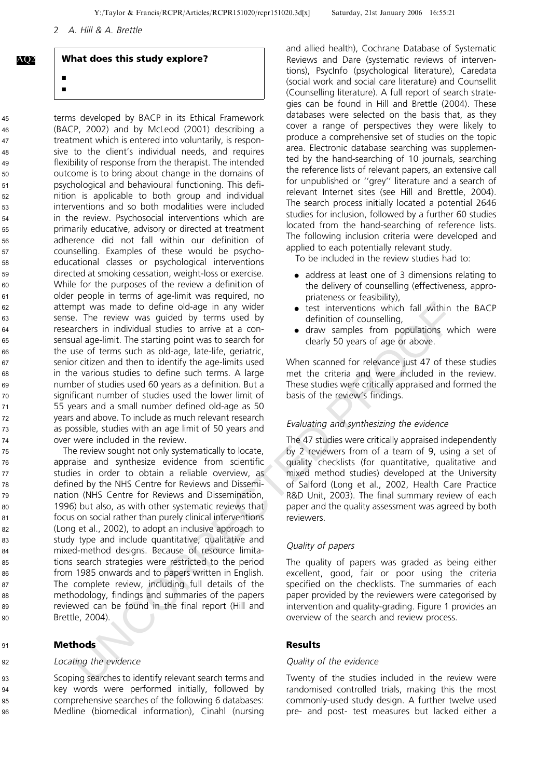## What does this study explore?

j j

AQ2

terms developed by BACP in its Ethical Framework (BACP, 2002) and by McLeod (2001) describing a treatment which is entered into voluntarily, is responsive to the client's individual needs, and requires flexibility of response from the therapist. The intended outcome is to bring about change in the domains of psychological and behavioural functioning. This definition is applicable to both group and individual interventions and so both modalities were included in the review. Psychosocial interventions which are primarily educative, advisory or directed at treatment adherence did not fall within our definition of counselling. Examples of these would be psychoeducational classes or psychological interventions directed at smoking cessation, weight-loss or exercise. While for the purposes of the review a definition of older people in terms of age-limit was required, no attempt was made to define old-age in any wider sense. The review was guided by terms used by researchers in individual studies to arrive at a consensual age-limit. The starting point was to search for the use of terms such as old-age, late-life, geriatric, senior citizen and then to identify the age-limits used in the various studies to define such terms. A large number of studies used 60 years as a definition. But a significant number of studies used the lower limit of 55 years and a small number defined old-age as 50 years and above. To include as much relevant research as possible, studies with an age limit of 50 years and over were included in the review.

mpt was made to define old-age in any wider<br>
a. The review was guided by terms used by<br>
a. The review was guided by terms used and<br>
are there in individual studies to arrive at a con-<br>
a draw samples from populations when The review sought not only systematically to locate, appraise and synthesize evidence from scientific studies in order to obtain a reliable overview, as defined by the NHS Centre for Reviews and Dissemination (NHS Centre for Reviews and Dissemination, 1996) but also, as with other systematic reviews that focus on social rather than purely clinical interventions (Long et al., 2002), to adopt an inclusive approach to study type and include quantitative, qualitative and mixed-method designs. Because of resource limitations search strategies were restricted to the period from 1985 onwards and to papers written in English. The complete review, including full details of the methodology, findings and summaries of the papers reviewed can be found in the final report (Hill and Brettle, 2004).

## Methods

91 92

94

#### Locating the evidence

Scoping searches to identify relevant search terms and key words were performed initially, followed by comprehensive searches of the following 6 databases: Medline (biomedical information), Cinahl (nursing 93 95 **96** 

and allied health), Cochrane Database of Systematic Reviews and Dare (systematic reviews of interventions), PsycInfo (psychological literature), Caredata (social work and social care literature) and Counsellit (Counselling literature). A full report of search strategies can be found in Hill and Brettle (2004). These databases were selected on the basis that, as they cover a range of perspectives they were likely to produce a comprehensive set of studies on the topic area. Electronic database searching was supplemented by the hand-searching of 10 journals, searching the reference lists of relevant papers, an extensive call for unpublished or ''grey'' literature and a search of relevant Internet sites (see Hill and Brettle, 2004). The search process initially located a potential 2646 studies for inclusion, followed by a further 60 studies located from the hand-searching of reference lists. The following inclusion criteria were developed and applied to each potentially relevant study.

To be included in the review studies had to:

- . address at least one of 3 dimensions relating to the delivery of counselling (effectiveness, appropriateness or feasibility),
- . test interventions which fall within the BACP definition of counselling,
- . draw samples from populations which were clearly 50 years of age or above.

When scanned for relevance just 47 of these studies met the criteria and were included in the review. These studies were critically appraised and formed the basis of the review's findings.

#### Evaluating and synthesizing the evidence

The 47 studies were critically appraised independently by 2 reviewers from of a team of 9, using a set of quality checklists (for quantitative, qualitative and mixed method studies) developed at the University of Salford (Long et al., 2002, Health Care Practice R&D Unit, 2003). The final summary review of each paper and the quality assessment was agreed by both reviewers.

#### Quality of papers

The quality of papers was graded as being either excellent, good, fair or poor using the criteria specified on the checklists. The summaries of each paper provided by the reviewers were categorised by intervention and quality-grading. Figure 1 provides an overview of the search and review process.

#### Results

### Quality of the evidence

Twenty of the studies included in the review were randomised controlled trials, making this the most commonly-used study design. A further twelve used pre- and post- test measures but lacked either a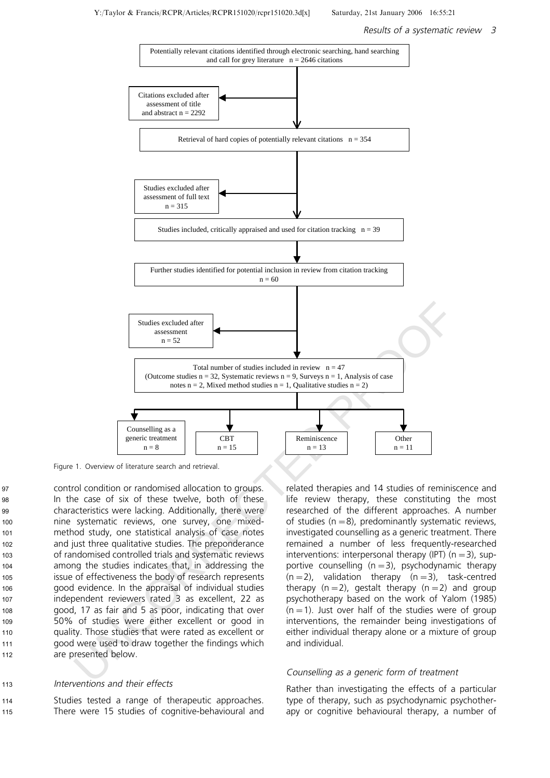

Figure 1. Overview of literature search and retrieval.

control condition or randomised allocation to groups. In the case of six of these twelve, both of these characteristics were lacking. Additionally, there were nine systematic reviews, one survey, one mixedmethod study, one statistical analysis of case notes and just three qualitative studies. The preponderance of randomised controlled trials and systematic reviews among the studies indicates that, in addressing the issue of effectiveness the body of research represents good evidence. In the appraisal of individual studies independent reviewers rated 3 as excellent, 22 as good, 17 as fair and 5 as poor, indicating that over 50% of studies were either excellent or good in quality. Those studies that were rated as excellent or good were used to draw together the findings which are presented below. 103

#### Interventions and their effects 113

Studies tested a range of therapeutic approaches. There were 15 studies of cognitive-behavioural and 114 115

related therapies and 14 studies of reminiscence and life review therapy, these constituting the most researched of the different approaches. A number of studies  $(n=8)$ , predominantly systematic reviews, investigated counselling as a generic treatment. There remained a number of less frequently-researched interventions: interpersonal therapy (IPT)  $(n=3)$ , supportive counselling  $(n=3)$ , psychodynamic therapy  $(n=2)$ , validation therapy  $(n=3)$ , task-centred therapy  $(n=2)$ , gestalt therapy  $(n=2)$  and group psychotherapy based on the work of Yalom (1985)  $(n = 1)$ . Just over half of the studies were of group interventions, the remainder being investigations of either individual therapy alone or a mixture of group and individual.

#### Counselling as <sup>a</sup> generic form of treatment

Rather than investigating the effects of a particular type of therapy, such as psychodynamic psychotherapy or cognitive behavioural therapy, a number of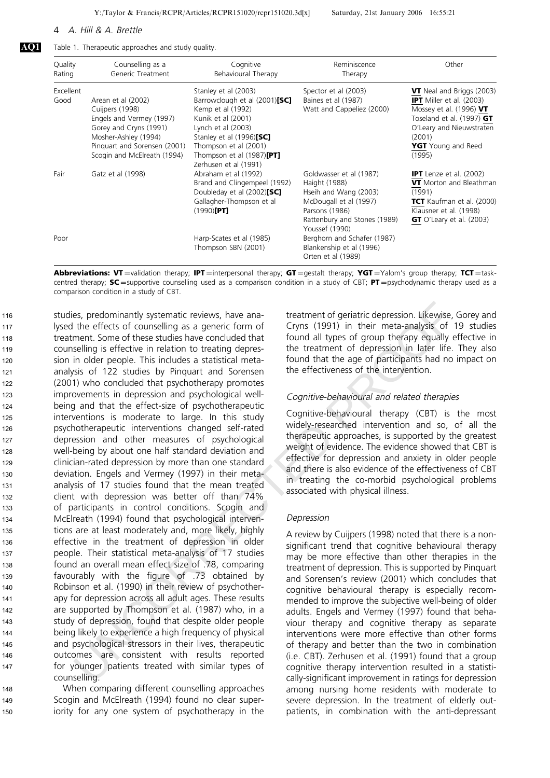AQ1 Table 1. Therapeutic approaches and study quality.

| Quality<br>Rating | Counselling as a<br>Generic Treatment                                                                                                                                              | Cognitive<br>Behavioural Therapy                                                                                                                                                                                                     | Reminiscence<br>Therapy                                                                                                                                         | Other                                                                                                                                                                                                 |
|-------------------|------------------------------------------------------------------------------------------------------------------------------------------------------------------------------------|--------------------------------------------------------------------------------------------------------------------------------------------------------------------------------------------------------------------------------------|-----------------------------------------------------------------------------------------------------------------------------------------------------------------|-------------------------------------------------------------------------------------------------------------------------------------------------------------------------------------------------------|
| Excellent<br>Good | Arean et al (2002)<br>Cuijpers (1998)<br>Engels and Vermey (1997)<br>Gorey and Cryns (1991)<br>Mosher-Ashley (1994)<br>Pinguart and Sorensen (2001)<br>Scogin and McElreath (1994) | Stanley et al (2003)<br>Barrowclough et al (2001)[SC]<br>Kemp et al (1992)<br>Kunik et al (2001)<br>Lynch et al (2003)<br>Stanley et al (1996)[SC]<br>Thompson et al (2001)<br>Thompson et al $(1987)$ [PT]<br>Zerhusen et al (1991) | Spector et al (2003)<br>Baines et al (1987)<br>Watt and Cappeliez (2000)                                                                                        | <b>VT</b> Neal and Briggs (2003)<br><b>IPT</b> Miller et al. (2003)<br>Mossey et al. $(1996) VT$<br>Toseland et al. $(1997)$ GT<br>O'Leary and Nieuwstraten<br>(2001)<br>YGT Young and Reed<br>(1995) |
| Fair              | Gatz et al (1998)                                                                                                                                                                  | Abraham et al (1992)<br>Brand and Clingempeel (1992)<br>Doubleday et al (2002)[SC]<br>Gallagher-Thompson et al<br>$(1990)$ [PT]                                                                                                      | Goldwasser et al (1987)<br>Haight (1988)<br>Hseih and Wang (2003)<br>McDougall et al (1997)<br>Parsons (1986)<br>Rattenbury and Stones (1989)<br>Youssef (1990) | <b>IPT</b> Lenze et al. (2002)<br><b>VT</b> Morton and Bleathman<br>(1991)<br>TCT Kaufman et al. (2000)<br>Klausner et al. (1998)<br><b>GT</b> O'Leary et al. $(2003)$                                |
| Poor              |                                                                                                                                                                                    | Harp-Scates et al (1985)<br>Thompson SBN (2001)                                                                                                                                                                                      | Berghorn and Schafer (1987)<br>Blankenship et al (1996)<br>Orten et al (1989)                                                                                   |                                                                                                                                                                                                       |

Abbreviations: VT=validation therapy; IPT=interpersonal therapy; GT=gestalt therapy; YGT=Yalom's group therapy; TCT=taskcentred therapy;  $SC =$ supportive counselling used as a comparison condition in a study of CBT; PT = psychodynamic therapy used as a comparison condition in a study of CBT.

es, predominantly systematic reviews, have ana<br>
treatment of geriatric depression. Likewise,<br>
the effects of counselling as a generic form of Cryns (1991) in their meta-analysts of<br>
the effective in relation to treatment o studies, predominantly systematic reviews, have analysed the effects of counselling as a generic form of treatment. Some of these studies have concluded that counselling is effective in relation to treating depression in older people. This includes a statistical metaanalysis of 122 studies by Pinquart and Sorensen (2001) who concluded that psychotherapy promotes improvements in depression and psychological wellbeing and that the effect-size of psychotherapeutic interventions is moderate to large. In this study psychotherapeutic interventions changed self-rated depression and other measures of psychological well-being by about one half standard deviation and clinician-rated depression by more than one standard deviation. Engels and Vermey (1997) in their metaanalysis of 17 studies found that the mean treated client with depression was better off than 74% of participants in control conditions. Scogin and McElreath (1994) found that psychological interventions are at least moderately and, more likely, highly effective in the treatment of depression in older people. Their statistical meta-analysis of 17 studies found an overall mean effect size of .78, comparing favourably with the figure of .73 obtained by Robinson et al. (1990) in their review of psychotherapy for depression across all adult ages. These results are supported by Thompson et al. (1987) who, in a study of depression, found that despite older people being likely to experience a high frequency of physical and psychological stressors in their lives, therapeutic outcomes are consistent with results reported for younger patients treated with similar types of counselling. 116 117 118 119 120 121 122 123 124 125 126 127 128 1<sub>20</sub> 130 131 132 133 134 135 136 137 138 139 140 141 142 143 144 145 146 147

When comparing different counselling approaches Scogin and McElreath (1994) found no clear superiority for any one system of psychotherapy in the

148 149 150 treatment of geriatric depression. Likewise, Gorey and Cryns (1991) in their meta-analysis of 19 studies found all types of group therapy equally effective in the treatment of depression in later life. They also found that the age of participants had no impact on the effectiveness of the intervention.

#### Cognitive-behavioural and related therapies

Cognitive-behavioural therapy (CBT) is the most widely-researched intervention and so, of all the therapeutic approaches, is supported by the greatest weight of evidence. The evidence showed that CBT is effective for depression and anxiety in older people and there is also evidence of the effectiveness of CBT in treating the co-morbid psychological problems associated with physical illness.

#### Depression

A review by Cuijpers (1998) noted that there is a nonsignificant trend that cognitive behavioural therapy may be more effective than other therapies in the treatment of depression. This is supported by Pinquart and Sorensen's review (2001) which concludes that cognitive behavioural therapy is especially recommended to improve the subjective well-being of older adults. Engels and Vermey (1997) found that behaviour therapy and cognitive therapy as separate interventions were more effective than other forms of therapy and better than the two in combination (i.e. CBT). Zerhusen et al. (1991) found that a group cognitive therapy intervention resulted in a statistically-significant improvement in ratings for depression among nursing home residents with moderate to severe depression. In the treatment of elderly outpatients, in combination with the anti-depressant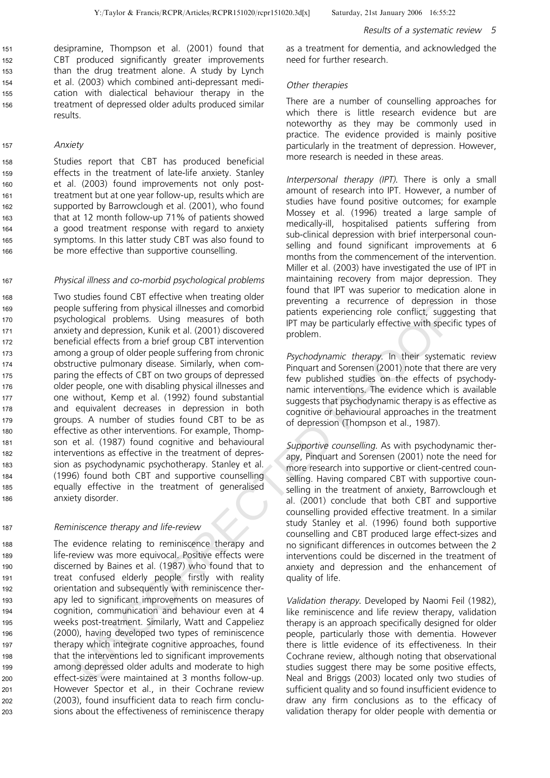desipramine, Thompson et al. (2001) found that CBT produced significantly greater improvements than the drug treatment alone. A study by Lynch et al. (2003) which combined anti-depressant medication with dialectical behaviour therapy in the treatment of depressed older adults produced similar results. 151 152 153 154 155 156

#### Anxiety

157

Studies report that CBT has produced beneficial effects in the treatment of late-life anxiety. Stanley et al. (2003) found improvements not only posttreatment but at one year follow-up, results which are supported by Barrowclough et al. (2001), who found that at 12 month follow-up 71% of patients showed a good treatment response with regard to anxiety symptoms. In this latter study CBT was also found to be more effective than supportive counselling. 158 159 160 161 162 163 164 165 166

#### Physical illness and co-morbid psychological problems 167

Le suffering from physical illnesses and comotive<br>
leadienting are econflict, sugger<br>
leadienting are resulted presenting at exerciting releading to conflict, sugger<br>
by and depression, Kunik et al. (2001) discovered<br>
prob Two studies found CBT effective when treating older people suffering from physical illnesses and comorbid psychological problems. Using measures of both anxiety and depression, Kunik et al. (2001) discovered beneficial effects from a brief group CBT intervention among a group of older people suffering from chronic obstructive pulmonary disease. Similarly, when comparing the effects of CBT on two groups of depressed older people, one with disabling physical illnesses and one without, Kemp et al. (1992) found substantial and equivalent decreases in depression in both groups. A number of studies found CBT to be as effective as other interventions. For example, Thompson et al. (1987) found cognitive and behavioural interventions as effective in the treatment of depression as psychodynamic psychotherapy. Stanley et al. (1996) found both CBT and supportive counselling equally effective in the treatment of generalised anxiety disorder. 168 169 170 171 172 173 174 175 176 177 178 179 180 181 182 183 184 185 186

#### Reminiscence therapy and life-review

The evidence relating to reminiscence therapy and life-review was more equivocal. Positive effects were discerned by Baines et al. (1987) who found that to treat confused elderly people firstly with reality orientation and subsequently with reminiscence therapy led to significant improvements on measures of cognition, communication and behaviour even at 4 weeks post-treatment. Similarly, Watt and Cappeliez (2000), having developed two types of reminiscence therapy which integrate cognitive approaches, found that the interventions led to significant improvements among depressed older adults and moderate to high effect-sizes were maintained at 3 months follow-up. However Spector et al., in their Cochrane review (2003), found insufficient data to reach firm conclusions about the effectiveness of reminiscence therapy as a treatment for dementia, and acknowledged the need for further research.

#### Other therapies

There are a number of counselling approaches for which there is little research evidence but are noteworthy as they may be commonly used in practice. The evidence provided is mainly positive particularly in the treatment of depression. However, more research is needed in these areas.

Interpersonal therapy (IPT). There is only a small amount of research into IPT. However, a number of studies have found positive outcomes; for example Mossey et al. (1996) treated a large sample of medically-ill, hospitalised patients suffering from sub-clinical depression with brief interpersonal counselling and found significant improvements at 6 months from the commencement of the intervention. Miller et al. (2003) have investigated the use of IPT in maintaining recovery from major depression. They found that IPT was superior to medication alone in preventing a recurrence of depression in those patients experiencing role conflict, suggesting that IPT may be particularly effective with specific types of problem.

Psychodynamic therapy. In their systematic review Pinquart and Sorensen (2001) note that there are very few published studies on the effects of psychodynamic interventions. The evidence which is available suggests that psychodynamic therapy is as effective as cognitive or behavioural approaches in the treatment of depression (Thompson et al., 1987).

Supportive counselling. As with psychodynamic therapy, Pinquart and Sorensen (2001) note the need for more research into supportive or client-centred counselling. Having compared CBT with supportive counselling in the treatment of anxiety, Barrowclough et al. (2001) conclude that both CBT and supportive counselling provided effective treatment. In a similar study Stanley et al. (1996) found both supportive counselling and CBT produced large effect-sizes and no significant differences in outcomes between the 2 interventions could be discerned in the treatment of anxiety and depression and the enhancement of quality of life.

Validation therapy. Developed by Naomi Feil (1982), like reminiscence and life review therapy, validation therapy is an approach specifically designed for older people, particularly those with dementia. However there is little evidence of its effectiveness. In their Cochrane review, although noting that observational studies suggest there may be some positive effects, Neal and Briggs (2003) located only two studies of sufficient quality and so found insufficient evidence to draw any firm conclusions as to the efficacy of validation therapy for older people with dementia or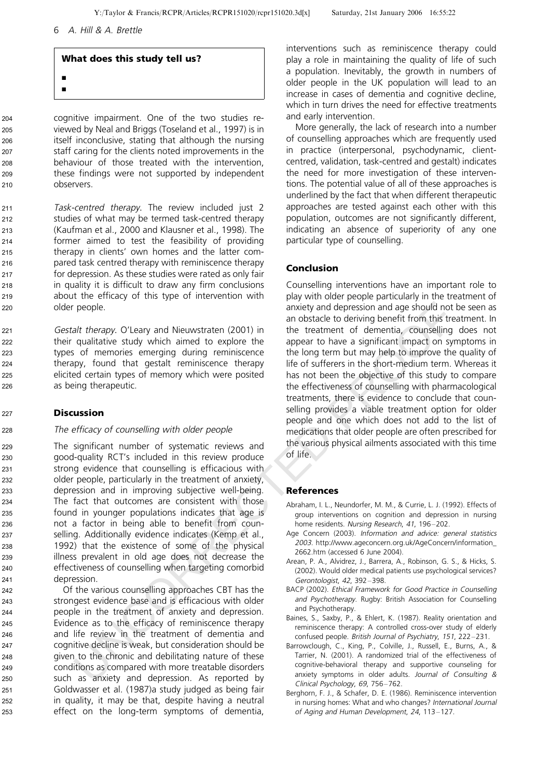## What does this study tell us?

j j

cognitive impairment. One of the two studies reviewed by Neal and Briggs (Toseland et al., 1997) is in itself inconclusive, stating that although the nursing staff caring for the clients noted improvements in the behaviour of those treated with the intervention, these findings were not supported by independent observers.

Task-centred therapy. The review included just 2 studies of what may be termed task-centred therapy (Kaufman et al., 2000 and Klausner et al., 1998). The former aimed to test the feasibility of providing therapy in clients' own homes and the latter compared task centred therapy with reminiscence therapy for depression. As these studies were rated as only fair in quality it is difficult to draw any firm conclusions about the efficacy of this type of intervention with older people. 211 212 213 214 215 216 217 218 219 220

Gestalt therapy. O'Leary and Nieuwstraten (2001) in their qualitative study which aimed to explore the types of memories emerging during reminiscence therapy, found that gestalt reminiscence therapy elicited certain types of memory which were posited as being therapeutic. 221 222 223 224 225 226

## **Discussion**

## The efficacy of counselling with older people

people. anxiety and depression and age should not<br>at the app. O'teary and Nieuwstraten (2001) in the treatment of dementing comparison<br>of the members emerging during reminiscence<br>of the large total one aging than the stea The significant number of systematic reviews and good-quality RCT's included in this review produce strong evidence that counselling is efficacious with older people, particularly in the treatment of anxiety, depression and in improving subjective well-being. The fact that outcomes are consistent with those found in younger populations indicates that age is not a factor in being able to benefit from counselling. Additionally evidence indicates (Kemp et al., 1992) that the existence of some of the physical illness prevalent in old age does not decrease the effectiveness of counselling when targeting comorbid depression.

Of the various counselling approaches CBT has the strongest evidence base and is efficacious with older people in the treatment of anxiety and depression. Evidence as to the efficacy of reminiscence therapy and life review in the treatment of dementia and cognitive decline is weak, but consideration should be given to the chronic and debilitating nature of these conditions as compared with more treatable disorders such as anxiety and depression. As reported by Goldwasser et al. (1987)a study judged as being fair in quality, it may be that, despite having a neutral effect on the long-term symptoms of dementia,

interventions such as reminiscence therapy could play a role in maintaining the quality of life of such a population. Inevitably, the growth in numbers of older people in the UK population will lead to an increase in cases of dementia and cognitive decline, which in turn drives the need for effective treatments and early intervention.

More generally, the lack of research into a number of counselling approaches which are frequently used in practice (interpersonal, psychodynamic, clientcentred, validation, task-centred and gestalt) indicates the need for more investigation of these interventions. The potential value of all of these approaches is underlined by the fact that when different therapeutic approaches are tested against each other with this population, outcomes are not significantly different, indicating an absence of superiority of any one particular type of counselling.

## Conclusion

Counselling interventions have an important role to play with older people particularly in the treatment of anxiety and depression and age should not be seen as an obstacle to deriving benefit from this treatment. In the treatment of dementia, counselling does not appear to have a significant impact on symptoms in the long term but may help to improve the quality of life of sufferers in the short-medium term. Whereas it has not been the objective of this study to compare the effectiveness of counselling with pharmacological treatments, there is evidence to conclude that counselling provides a viable treatment option for older people and one which does not add to the list of medications that older people are often prescribed for the various physical ailments associated with this time of life.

## References

- Abraham, I. L., Neundorfer, M. M., & Currie, L. J. (1992). Effects of group interventions on cognition and depression in nursing home residents. Nursing Research, 41, 196-202.
- Age Concern (2003). Information and advice: general statistics 2003. http://www.ageconcern.org.uk/AgeConcern/information\_ 2662.htm (accessed 6 June 2004).
- Arean, P. A., Alvidrez, J., Barrera, A., Robinson, G. S., & Hicks, S. (2002). Would older medical patients use psychological services? Gerontologist, 42, 392-398.
- BACP (2002). Ethical Framework for Good Practice in Counselling and Psychotherapy. Rugby: British Association for Counselling and Psychotherapy.
- Baines, S., Saxby, P., & Ehlert, K. (1987). Reality orientation and reminiscence therapy: A controlled cross-over study of elderly confused people. British Journal of Psychiatry, 151, 222-231.
- Barrowclough, C., King, P., Colville, J., Russell, E., Burns, A., & Tarrier, N. (2001). A randomized trial of the effectiveness of cognitive-behavioral therapy and supportive counseling for anxiety symptoms in older adults. Journal of Consulting & Clinical Psychology, 69, 756-762.
- Berghorn, F. J., & Schafer, D. E. (1986). Reminiscence intervention in nursing homes: What and who changes? International Journal of Aging and Human Development, 24, 113-127.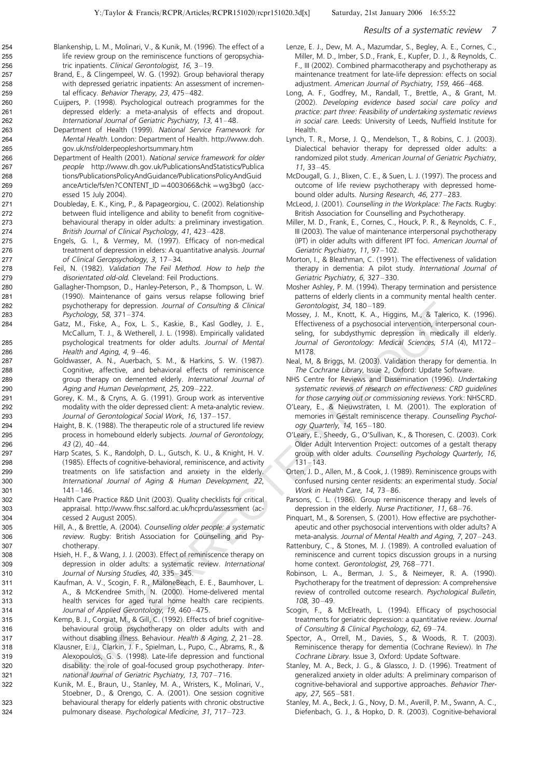#### Results of <sup>a</sup> systematic review 7

- Blankenship, L. M., Molinari, V., & Kunik, M. (1996). The effect of a life review group on the reminiscence functions of geropsychiatric inpatients. Clinical Gerontologist, 16, 3-19.
- Brand, E., & Clingempeel, W. G. (1992). Group behavioral therapy with depressed geriatric inpatients: An assessment of incremental efficacy. Behavior Therapy, 23, 475-482.
- Cuijpers, P. (1998). Psychological outreach programmes for the depressed elderly: a meta-analysis of effects and dropout. International Journal of Geriatric Psychiatry, 13, 41-48.
- Department of Health (1999). National Service Framework for Mental Health. London: Department of Health. http://www.doh. gov.uk/nsf/olderpeopleshortsummary.htm
- Department of Health (2001). National service framework for older people http://www.dh.gov.uk/PublicationsAndStatistics/Publica tions/PublicationsPolicyAndGuidance/PublicationsPolicyAndGuid anceArticle/fs/en?CONTENT\_ID =4003066&chk =wg3bg0(accessed 15 July 2004).
- Doubleday, E. K., King, P., & Papageorgiou, C. (2002). Relationship between fluid intelligence and ability to benefit from cognitivebehavioural therapy in older adults: a preliminary investigation. British Journal of Clinical Psychology, 41, 423-428.
- Engels, G. I., & Vermey, M. (1997). Efficacy of non-medical treatment of depression in elders: A quantitative analysis. Journal of Clinical Geropsychology, 3, 17-34.
- Feil, N. (1982). Validation The Feil Method. How to help the disorientated old-old. Cleveland: Feil Productions.
- Gallagher-Thompson, D., Hanley-Peterson, P., & Thompson, L. W. (1990). Maintenance of gains versus relapse following brief psychotherapy for depression. Journal of Consulting & Clinical Psychology, 58,  $371-374$ .
- Gatz, M., Fiske, A., Fox, L. S., Kaskie, B., Kasl Godley, J. E., McCallum, T. J., & Wetherell, J. L. (1998). Empirically validated psychological treatments for older adults. Journal of Mental Health and Aging,  $4, 9-46$ .
- Goldwasser, A. N., Auerbach, S. M., & Harkins, S. W. (1987). Cognitive, affective, and behavioral effects of reminiscence group therapy on demented elderly. International Journal of Aging and Human Development, 25, 209-222.
- Gorey, K. M., & Cryns, A. G. (1991). Group work as interventive modality with the older depressed client: A meta-analytic review. Journal of Gerontological Social Work, 16, 137-157.
- Haight, B. K. (1988). The therapeutic role of a structured life review process in homebound elderly subjects. Journal of Gerontology,  $43(2)$ ,  $40-44$ .
- chotheray for deterministers. F. S. K. Randical Education and Explaination and Explaination (Controlling and Berling and Berling and Berling and Maria Maria Maria Maria Maria Maria Maria Maria Maria Maria Maria Maria Maria Harp Scates, S. K., Randolph, D. L., Gutsch, K. U., & Knight, H. V. (1985). Effects of cognitive-behavioral, reminiscence, and activity treatments on life satisfaction and anxiety in the elderly. International Journal of Aging & Human Development, 22,  $141 - 146$
- Health Care Practice R&D Unit (2003). Quality checklists for critical appraisal. http://www.fhsc.salford.ac.uk/hcprdu/assessment (accessed 2 August 2005).
- Hill, A., & Brettle, A. (2004). Counselling older people: <sup>a</sup> systematic review. Rugby: British Association for Counselling and Psychotherapy.
- Hsieh, H. F., & Wang, J. J. (2003). Effect of reminiscence therapy on depression in older adults: a systematic review. International Journal of Nursing Studies, 40, 335-345.
- Kaufman, A. V., Scogin, F. R., MaloneBeach, E. E., Baumhover, L. A., & McKendree Smith, N. (2000). Home-delivered mental health services for aged rural home health care recipients. Journal of Applied Gerontology, 19, 460-475.
- Kemp, B. J., Corgiat, M., & Gill, C. (1992). Effects of brief cognitivebehavioural group psychotherapy on older adults with and without disabling illness. Behaviour. Health & Aging, 2, 21-28.
- Klausner, E. J., Clarkin, J. F., Spielman, L., Pupo, C., Abrams, R., & Alexopoulos, G. S. (1998). Late-life depression and functional disability: the role of goal-focused group psychotherapy. International Journal of Geriatric Psychiatry, 13, 707-716.
- Kunik, M. E., Braun, U., Stanley, M. A., Wristers, K., Molinari, V., Stoebner, D., & Orengo, C. A. (2001). One session cognitive behavioural therapy for elderly patients with chronic obstructive pulmonary disease. Psychological Medicine, 31, 717-723.
- Lenze, E. J., Dew, M. A., Mazumdar, S., Begley, A. E., Cornes, C., Miller, M. D., Imber, S.D., Frank, E., Kupfer, D. J., & Reynolds, C. F., III (2002). Combined pharmacotherapy and psychotherapy as maintenance treatment for late-life depression: effects on social adjustment. American Journal of Psychiatry, 159, 466-468.
- Long, A. F., Godfrey, M., Randall, T., Brettle, A., & Grant, M. (2002). Developing evidence based social care policy and practice: part three: Feasibility of undertaking systematic reviews in social care. Leeds: University of Leeds, Nuffield Institute for Health.
- Lynch, T. R., Morse, J. Q., Mendelson, T., & Robins, C. J. (2003). Dialectical behavior therapy for depressed older adults: a randomized pilot study. American Journal of Geriatric Psychiatry,  $11, 33 - 45.$
- McDougall, G. J., Blixen, C. E., & Suen, L. J. (1997). The process and outcome of life review psychotherapy with depressed homebound older adults. Nursing Research, 46, 277-283.
- McLeod, J. (2001). Counselling in the Workplace: The Facts. Rugby: British Association for Counselling and Psychotherapy.
- Miller, M. D., Frank, E., Cornes, C., Houck, P. R., & Reynolds, C. F., III (2003). The value of maintenance interpersonal psychotherapy (IPT) in older adults with different IPT foci. American Journal of Geriatric Psychiatry, 11, 97-102.
- Morton, I., & Bleathman, C. (1991). The effectiveness of validation therapy in dementia: A pilot study. International Journal of Geriatric Psychiatry, 6, 327-330.
- Mosher Ashley, P. M. (1994). Therapy termination and persistence patterns of elderly clients in a community mental health center. Gerontologist, 34, 180-189.
- Mossey, J. M., Knott, K. A., Higgins, M., & Talerico, K. (1996). Effectiveness of a psychosocial intervention, interpersonal counseling, for subdysthymic depression in medically ill elderly. Journal of Gerontology: Medical Sciences, 51A (4), M172-M178.
- Neal, M, & Briggs, M. (2003). Validation therapy for dementia. In The Cochrane Library, Issue 2, Oxford: Update Software.
- NHS Centre for Reviews and Dissemination (1996). Undertaking systematic reviews of research on effectiveness: CRD guidelines for those carrying out or commissioning reviews. York: NHSCRD.
- O'Leary, E., & Nieuwstraten, I. M. (2001). The exploration of memories in Gestalt reminiscence therapy. Counselling Psychology Quarterly, 14, 165-180.
- O'Leary, E., Sheedy, G., O'Sullivan, K., & Thoresen, C. (2003). Cork Older Adult Intervention Project: outcomes of a gestalt therapy group with older adults. Counselling Psychology Quarterly, 16,  $131 - 143.$
- Orten, J. D., Allen, M., & Cook, J. (1989). Reminiscence groups with confused nursing center residents: an experimental study. Social Work in Health Care,  $14.73-86$ .
- Parsons, C. L. (1986). Group reminiscence therapy and levels of depression in the elderly. Nurse Practitioner, 11, 68-76.
- Pinquart, M., & Sorensen, S. (2001). How effective are psychotherapeutic and other psychosocial interventions with older adults? A meta-analysis. Journal of Mental Health and Aging, 7, 207-243.
- Rattenbury, C., & Stones, M. J. (1989). A controlled evaluation of reminiscence and current topics discussion groups in a nursing home context. Gerontologist, 29, 768-771.
- Robinson, L. A., Berman, J. S., & Neimeyer, R. A. (1990). Psychotherapy for the treatment of depression: A comprehensive review of controlled outcome research. Psychological Bulletin, 108, 30-49.
- Scogin, F., & McElreath, L. (1994). Efficacy of psychosocial treatments for geriatric depression: a quantitative review. Journal of Consulting & Clinical Psychology, 62, 69-74.
- Spector, A., Orrell, M., Davies, S., & Woods, R. T. (2003). Reminiscence therapy for dementia (Cochrane Review). In The Cochrane Library. Issue 3, Oxford: Update Software.
- Stanley, M. A., Beck, J. G., & Glassco, J. D. (1996). Treatment of generalized anxiety in older adults: A preliminary comparison of cognitive-behavioral and supportive approaches. Behavior Therapy, 27, 565-581.
- Stanley, M. A., Beck, J. G., Novy, D. M., Averill, P. M., Swann, A. C., Diefenbach, G. J., & Hopko, D. R. (2003). Cognitive-behavioral

323 324